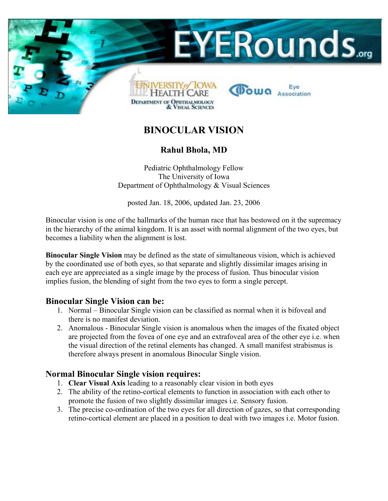

# **BINOCULAR VISION**

### **Rahul Bhola, MD**

Pediatric Ophthalmology Fellow The University of Iowa Department of Ophthalmology & Visual Sciences

posted Jan. 18, 2006, updated Jan. 23, 2006

Binocular vision is one of the hallmarks of the human race that has bestowed on it the supremacy in the hierarchy of the animal kingdom. It is an asset with normal alignment of the two eyes, but becomes a liability when the alignment is lost.

**Binocular Single Vision** may be defined as the state of simultaneous vision, which is achieved by the coordinated use of both eyes, so that separate and slightly dissimilar images arising in each eye are appreciated as a single image by the process of fusion. Thus binocular vision implies fusion, the blending of sight from the two eyes to form a single percept.

### **Binocular Single Vision can be:**

- 1. Normal Binocular Single vision can be classified as normal when it is bifoveal and there is no manifest deviation.
- 2. Anomalous Binocular Single vision is anomalous when the images of the fixated object are projected from the fovea of one eye and an extrafoveal area of the other eye i.e. when the visual direction of the retinal elements has changed. A small manifest strabismus is therefore always present in anomalous Binocular Single vision.

### **Normal Binocular Single vision requires:**

- 1. **Clear Visual Axis** leading to a reasonably clear vision in both eyes
- 2. The ability of the retino-cortical elements to function in association with each other to promote the fusion of two slightly dissimilar images i.e. Sensory fusion.
- 3. The precise co-ordination of the two eyes for all direction of gazes, so that corresponding retino-cortical element are placed in a position to deal with two images i.e. Motor fusion.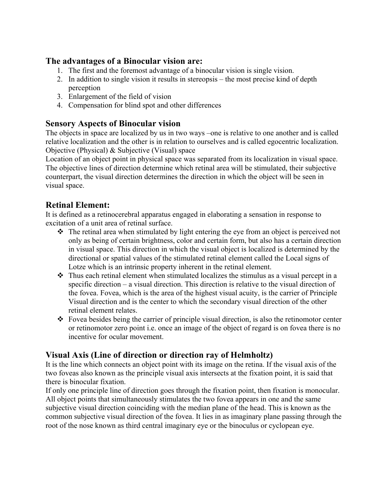### **The advantages of a Binocular vision are:**

- 1. The first and the foremost advantage of a binocular vision is single vision.
- 2. In addition to single vision it results in stereopsis the most precise kind of depth perception
- 3. Enlargement of the field of vision
- 4. Compensation for blind spot and other differences

### **Sensory Aspects of Binocular vision**

The objects in space are localized by us in two ways –one is relative to one another and is called relative localization and the other is in relation to ourselves and is called egocentric localization. Objective (Physical) & Subjective (Visual) space

Location of an object point in physical space was separated from its localization in visual space. The objective lines of direction determine which retinal area will be stimulated, their subjective counterpart, the visual direction determines the direction in which the object will be seen in visual space.

## **Retinal Element:**

It is defined as a retinocerebral apparatus engaged in elaborating a sensation in response to excitation of a unit area of retinal surface.

- $\hat{\cdot}$  The retinal area when stimulated by light entering the eye from an object is perceived not only as being of certain brightness, color and certain form, but also has a certain direction in visual space. This direction in which the visual object is localized is determined by the directional or spatial values of the stimulated retinal element called the Local signs of Lotze which is an intrinsic property inherent in the retinal element.
- $\cdot \cdot$  Thus each retinal element when stimulated localizes the stimulus as a visual percept in a specific direction – a visual direction. This direction is relative to the visual direction of the fovea. Fovea, which is the area of the highest visual acuity, is the carrier of Principle Visual direction and is the center to which the secondary visual direction of the other retinal element relates.
- Fovea besides being the carrier of principle visual direction, is also the retinomotor center or retinomotor zero point i.e. once an image of the object of regard is on fovea there is no incentive for ocular movement.

## **Visual Axis (Line of direction or direction ray of Helmholtz)**

It is the line which connects an object point with its image on the retina. If the visual axis of the two foveas also known as the principle visual axis intersects at the fixation point, it is said that there is binocular fixation.

If only one principle line of direction goes through the fixation point, then fixation is monocular. All object points that simultaneously stimulates the two fovea appears in one and the same subjective visual direction coinciding with the median plane of the head. This is known as the common subjective visual direction of the fovea. It lies in as imaginary plane passing through the root of the nose known as third central imaginary eye or the binoculus or cyclopean eye.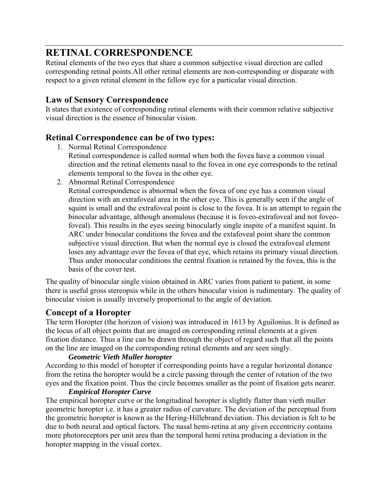# **RETINAL CORRESPONDENCE**

Retinal elements of the two eyes that share a common subjective visual direction are called corresponding retinal points.All other retinal elements are non-corresponding or disparate with respect to a given retinal element in the fellow eye for a particular visual direction.

### **Law of Sensory Correspondence**

It states that existence of corresponding retinal elements with their common relative subjective visual direction is the essence of binocular vision.

### **Retinal Correspondence can be of two types:**

1. Normal Retinal Correspondence

Retinal correspondence is called normal when both the fovea have a common visual direction and the retinal elements nasal to the fovea in one eye corresponds to the retinal elements temporal to the fovea in the other eye.

2. Abnormal Retinal Correspondence

Retinal correspondence is abnormal when the fovea of one eye has a common visual direction with an extrafoveal area in the other eye. This is generally seen if the angle of squint is small and the extrafoveal point is close to the fovea. It is an attempt to regain the binocular advantage, although anomalous (because it is foveo-extrafoveal and not foveofoveal). This results in the eyes seeing binocularly single inspite of a manifest squint. In ARC under binocular conditions the fovea and the extafoveal point share the common subjective visual direction. But when the normal eye is closed the extrafoveal element loses any advantage over the fovea of that eye, which retains its primary visual direction. Thus under monocular conditions the central fixation is retained by the fovea, this is the basis of the cover test.

The quality of binocular single vision obtained in ARC varies from patient to patient, in some there is useful gross stereopsis while in the others binocular vision is rudimentary. The quality of binocular vision is usually inversely proportional to the angle of deviation.

### **Concept of a Horopter**

The term Horopter (the horizon of vision) was introduced in 1613 by Aguilonius. It is defined as the locus of all object points that are imaged on corresponding retinal elements at a given fixation distance. Thus a line can be drawn through the object of regard such that all the points on the line are imaged on the corresponding retinal elements and are seen singly.

### *Geometric Vieth Muller horopter*

According to this model of horopter if corresponding points have a regular horizontal distance from the retina the horopter would be a circle passing through the center of rotation of the two eyes and the fixation point. Thus the circle becomes smaller as the point of fixation gets nearer.

### *Empirical Horopter Curve*

The empirical horopter curve or the longitudinal horopter is slightly flatter than vieth muller geometric horopter i.e. it has a greater radius of curvature. The deviation of the perceptual from the geometric horopter is known as the Hering-Hillebrand deviation. This deviation is felt to be due to both neural and optical factors. The nasal hemi-retina at any given eccentricity contains more photoreceptors per unit area than the temporal hemi retina producing a deviation in the horopter mapping in the visual cortex.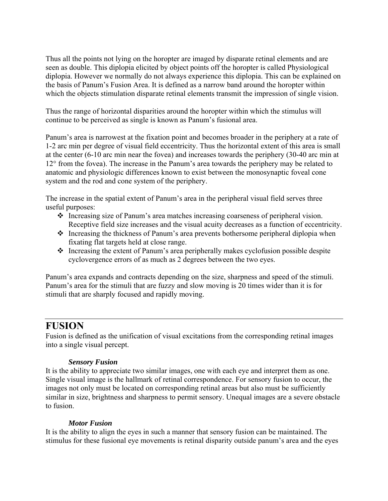Thus all the points not lying on the horopter are imaged by disparate retinal elements and are seen as double. This diplopia elicited by object points off the horopter is called Physiological diplopia. However we normally do not always experience this diplopia. This can be explained on the basis of Panum's Fusion Area. It is defined as a narrow band around the horopter within which the objects stimulation disparate retinal elements transmit the impression of single vision.

Thus the range of horizontal disparities around the horopter within which the stimulus will continue to be perceived as single is known as Panum's fusional area.

Panum's area is narrowest at the fixation point and becomes broader in the periphery at a rate of 1-2 arc min per degree of visual field eccentricity. Thus the horizontal extent of this area is small at the center (6-10 arc min near the fovea) and increases towards the periphery (30-40 arc min at 12° from the fovea). The increase in the Panum's area towards the periphery may be related to anatomic and physiologic differences known to exist between the monosynaptic foveal cone system and the rod and cone system of the periphery.

The increase in the spatial extent of Panum's area in the peripheral visual field serves three useful purposes:

- Increasing size of Panum's area matches increasing coarseness of peripheral vision. Receptive field size increases and the visual acuity decreases as a function of eccentricity.
- Increasing the thickness of Panum's area prevents bothersome peripheral diplopia when fixating flat targets held at close range.
- $\triangle$  Increasing the extent of Panum's area peripherally makes cyclofusion possible despite cyclovergence errors of as much as 2 degrees between the two eyes.

Panum's area expands and contracts depending on the size, sharpness and speed of the stimuli. Panum's area for the stimuli that are fuzzy and slow moving is 20 times wider than it is for stimuli that are sharply focused and rapidly moving.

## **FUSION**

Fusion is defined as the unification of visual excitations from the corresponding retinal images into a single visual percept.

### *Sensory Fusion*

It is the ability to appreciate two similar images, one with each eye and interpret them as one. Single visual image is the hallmark of retinal correspondence. For sensory fusion to occur, the images not only must be located on corresponding retinal areas but also must be sufficiently similar in size, brightness and sharpness to permit sensory. Unequal images are a severe obstacle to fusion.

### *Motor Fusion*

It is the ability to align the eyes in such a manner that sensory fusion can be maintained. The stimulus for these fusional eye movements is retinal disparity outside panum's area and the eyes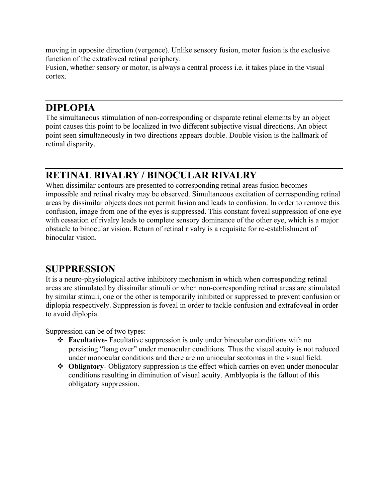moving in opposite direction (vergence). Unlike sensory fusion, motor fusion is the exclusive function of the extrafoveal retinal periphery.

Fusion, whether sensory or motor, is always a central process i.e. it takes place in the visual cortex.

## **DIPLOPIA**

The simultaneous stimulation of non-corresponding or disparate retinal elements by an object point causes this point to be localized in two different subjective visual directions. An object point seen simultaneously in two directions appears double. Double vision is the hallmark of retinal disparity.

# **RETINAL RIVALRY / BINOCULAR RIVALRY**

When dissimilar contours are presented to corresponding retinal areas fusion becomes impossible and retinal rivalry may be observed. Simultaneous excitation of corresponding retinal areas by dissimilar objects does not permit fusion and leads to confusion. In order to remove this confusion, image from one of the eyes is suppressed. This constant foveal suppression of one eye with cessation of rivalry leads to complete sensory dominance of the other eye, which is a major obstacle to binocular vision. Return of retinal rivalry is a requisite for re-establishment of binocular vision.

## **SUPPRESSION**

It is a neuro-physiological active inhibitory mechanism in which when corresponding retinal areas are stimulated by dissimilar stimuli or when non-corresponding retinal areas are stimulated by similar stimuli, one or the other is temporarily inhibited or suppressed to prevent confusion or diplopia respectively. Suppression is foveal in order to tackle confusion and extrafoveal in order to avoid diplopia.

Suppression can be of two types:

- **Facultative** Facultative suppression is only under binocular conditions with no persisting "hang over" under monocular conditions. Thus the visual acuity is not reduced under monocular conditions and there are no uniocular scotomas in the visual field.
- **Obligatory** Obligatory suppression is the effect which carries on even under monocular conditions resulting in diminution of visual acuity. Amblyopia is the fallout of this obligatory suppression.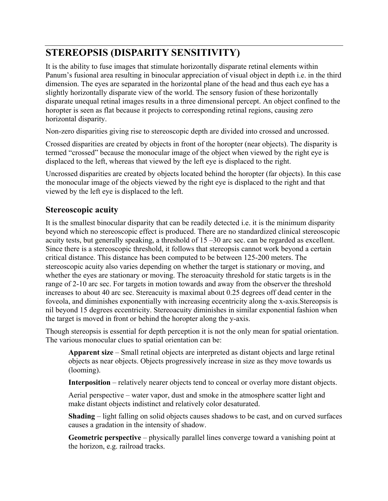# **STEREOPSIS (DISPARITY SENSITIVITY)**

It is the ability to fuse images that stimulate horizontally disparate retinal elements within Panum's fusional area resulting in binocular appreciation of visual object in depth i.e. in the third dimension. The eyes are separated in the horizontal plane of the head and thus each eye has a slightly horizontally disparate view of the world. The sensory fusion of these horizontally disparate unequal retinal images results in a three dimensional percept. An object confined to the horopter is seen as flat because it projects to corresponding retinal regions, causing zero horizontal disparity.

Non-zero disparities giving rise to stereoscopic depth are divided into crossed and uncrossed.

Crossed disparities are created by objects in front of the horopter (near objects). The disparity is termed "crossed" because the monocular image of the object when viewed by the right eye is displaced to the left, whereas that viewed by the left eye is displaced to the right.

Uncrossed disparities are created by objects located behind the horopter (far objects). In this case the monocular image of the objects viewed by the right eye is displaced to the right and that viewed by the left eye is displaced to the left.

### **Stereoscopic acuity**

It is the smallest binocular disparity that can be readily detected i.e. it is the minimum disparity beyond which no stereoscopic effect is produced. There are no standardized clinical stereoscopic acuity tests, but generally speaking, a threshold of 15 –30 arc sec. can be regarded as excellent. Since there is a stereoscopic threshold, it follows that stereopsis cannot work beyond a certain critical distance. This distance has been computed to be between 125-200 meters. The stereoscopic acuity also varies depending on whether the target is stationary or moving, and whether the eyes are stationary or moving. The steroacuity threshold for static targets is in the range of 2-10 arc sec. For targets in motion towards and away from the observer the threshold increases to about 40 arc sec. Stereacuity is maximal about 0.25 degrees off dead center in the foveola, and diminishes exponentially with increasing eccentricity along the x-axis.Stereopsis is nil beyond 15 degrees eccentricity. Stereoacuity diminishes in similar exponential fashion when the target is moved in front or behind the horopter along the y-axis.

Though stereopsis is essential for depth perception it is not the only mean for spatial orientation. The various monocular clues to spatial orientation can be:

**Apparent size** – Small retinal objects are interpreted as distant objects and large retinal objects as near objects. Objects progressively increase in size as they move towards us (looming).

**Interposition** – relatively nearer objects tend to conceal or overlay more distant objects.

Aerial perspective – water vapor, dust and smoke in the atmosphere scatter light and make distant objects indistinct and relatively color desaturated.

**Shading** – light falling on solid objects causes shadows to be cast, and on curved surfaces causes a gradation in the intensity of shadow.

**Geometric perspective** – physically parallel lines converge toward a vanishing point at the horizon, e.g. railroad tracks.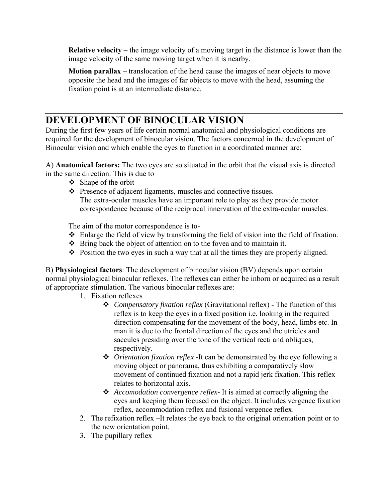**Relative velocity** – the image velocity of a moving target in the distance is lower than the image velocity of the same moving target when it is nearby.

**Motion parallax** – translocation of the head cause the images of near objects to move opposite the head and the images of far objects to move with the head, assuming the fixation point is at an intermediate distance.

## **DEVELOPMENT OF BINOCULAR VISION**

During the first few years of life certain normal anatomical and physiological conditions are required for the development of binocular vision. The factors concerned in the development of Binocular vision and which enable the eyes to function in a coordinated manner are:

A) **Anatomical factors:** The two eyes are so situated in the orbit that the visual axis is directed in the same direction. This is due to

- $\div$  Shape of the orbit
- Presence of adjacent ligaments, muscles and connective tissues. The extra-ocular muscles have an important role to play as they provide motor correspondence because of the reciprocal innervation of the extra-ocular muscles.

The aim of the motor correspondence is to-

- Enlarge the field of view by transforming the field of vision into the field of fixation.
- $\triangle$  Bring back the object of attention on to the fovea and to maintain it.
- $\triangle$  Position the two eyes in such a way that at all the times they are properly aligned.

B) **Physiological factors**: The development of binocular vision (BV) depends upon certain normal physiological binocular reflexes. The reflexes can either be inborn or acquired as a result of appropriate stimulation. The various binocular reflexes are:

- 1. Fixation reflexes
	- *Compensatory fixation reflex* (Gravitational reflex) The function of this reflex is to keep the eyes in a fixed position i.e. looking in the required direction compensating for the movement of the body, head, limbs etc. In man it is due to the frontal direction of the eyes and the utricles and saccules presiding over the tone of the vertical recti and obliques, respectively.
	- *Orientation fixation reflex* -It can be demonstrated by the eye following a moving object or panorama, thus exhibiting a comparatively slow movement of continued fixation and not a rapid jerk fixation. This reflex relates to horizontal axis.
	- *Accomodation convergence reflex-* It is aimed at correctly aligning the eyes and keeping them focused on the object. It includes vergence fixation reflex, accommodation reflex and fusional vergence reflex.
- 2. The refixation reflex –It relates the eye back to the original orientation point or to the new orientation point.
- 3. The pupillary reflex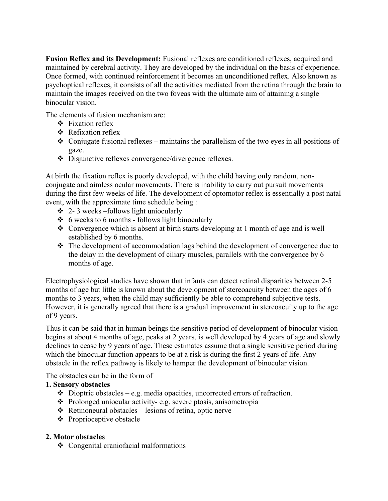**Fusion Reflex and its Development:** Fusional reflexes are conditioned reflexes, acquired and maintained by cerebral activity. They are developed by the individual on the basis of experience. Once formed, with continued reinforcement it becomes an unconditioned reflex. Also known as psychoptical reflexes, it consists of all the activities mediated from the retina through the brain to maintain the images received on the two foveas with the ultimate aim of attaining a single binocular vision.

The elements of fusion mechanism are:

- $\div$  Fixation reflex
- ❖ Refixation reflex
- $\triangleleft$  Conjugate fusional reflexes maintains the parallelism of the two eyes in all positions of gaze.
- Disjunctive reflexes convergence/divergence reflexes.

At birth the fixation reflex is poorly developed, with the child having only random, nonconjugate and aimless ocular movements. There is inability to carry out pursuit movements during the first few weeks of life. The development of optomotor reflex is essentially a post natal event, with the approximate time schedule being :

- $\div$  2-3 weeks –follows light uniocularly
- $\div$  6 weeks to 6 months follows light binocularly
- Convergence which is absent at birth starts developing at 1 month of age and is well established by 6 months.
- \* The development of accommodation lags behind the development of convergence due to the delay in the development of ciliary muscles, parallels with the convergence by 6 months of age.

Electrophysiological studies have shown that infants can detect retinal disparities between 2-5 months of age but little is known about the development of stereoacuity between the ages of 6 months to 3 years, when the child may sufficiently be able to comprehend subjective tests. However, it is generally agreed that there is a gradual improvement in stereoacuity up to the age of 9 years.

Thus it can be said that in human beings the sensitive period of development of binocular vision begins at about 4 months of age, peaks at 2 years, is well developed by 4 years of age and slowly declines to cease by 9 years of age. These estimates assume that a single sensitive period during which the binocular function appears to be at a risk is during the first 2 years of life. Any obstacle in the reflex pathway is likely to hamper the development of binocular vision.

The obstacles can be in the form of

### **1. Sensory obstacles**

- $\triangle$  Dioptric obstacles e.g. media opacities, uncorrected errors of refraction.
- Prolonged uniocular activity- e.g. severe ptosis, anisometropia
- $\triangle$  Retinoneural obstacles lesions of retina, optic nerve
- $\triangle$  Proprioceptive obstacle

### **2. Motor obstacles**

Congenital craniofacial malformations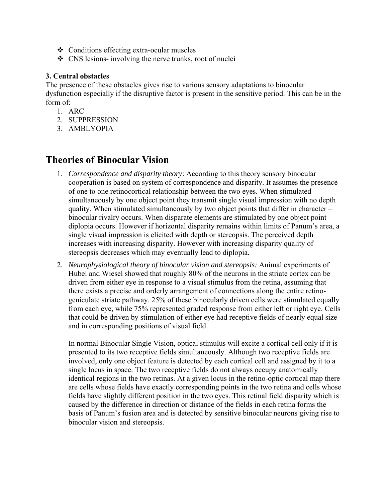- Conditions effecting extra-ocular muscles
- CNS lesions- involving the nerve trunks, root of nuclei

#### **3. Central obstacles**

The presence of these obstacles gives rise to various sensory adaptations to binocular dysfunction especially if the disruptive factor is present in the sensitive period. This can be in the form of:

- 1. ARC
- 2. SUPPRESSION
- 3. AMBLYOPIA

## **Theories of Binocular Vision**

- 1. *Correspondence and disparity theory*: According to this theory sensory binocular cooperation is based on system of correspondence and disparity. It assumes the presence of one to one retinocortical relationship between the two eyes. When stimulated simultaneously by one object point they transmit single visual impression with no depth quality. When stimulated simultaneously by two object points that differ in character – binocular rivalry occurs. When disparate elements are stimulated by one object point diplopia occurs. However if horizontal disparity remains within limits of Panum's area, a single visual impression is elicited with depth or stereopsis. The perceived depth increases with increasing disparity. However with increasing disparity quality of stereopsis decreases which may eventually lead to diplopia.
- 2. *Neurophysiological theory of binocular vision and stereopsis:* Animal experiments of Hubel and Wiesel showed that roughly 80% of the neurons in the striate cortex can be driven from either eye in response to a visual stimulus from the retina, assuming that there exists a precise and orderly arrangement of connections along the entire retinogeniculate striate pathway. 25% of these binocularly driven cells were stimulated equally from each eye, while 75% represented graded response from either left or right eye. Cells that could be driven by stimulation of either eye had receptive fields of nearly equal size and in corresponding positions of visual field.

In normal Binocular Single Vision, optical stimulus will excite a cortical cell only if it is presented to its two receptive fields simultaneously. Although two receptive fields are involved, only one object feature is detected by each cortical cell and assigned by it to a single locus in space. The two receptive fields do not always occupy anatomically identical regions in the two retinas. At a given locus in the retino-optic cortical map there are cells whose fields have exactly corresponding points in the two retina and cells whose fields have slightly different position in the two eyes. This retinal field disparity which is caused by the difference in direction or distance of the fields in each retina forms the basis of Panum's fusion area and is detected by sensitive binocular neurons giving rise to binocular vision and stereopsis.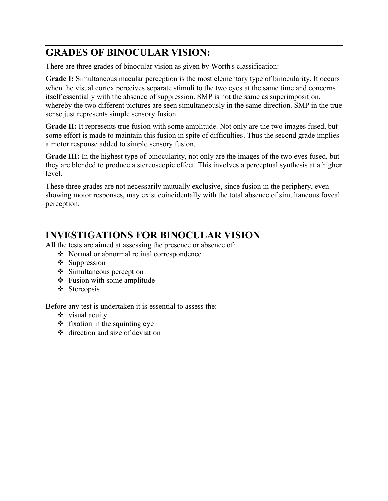# **GRADES OF BINOCULAR VISION:**

There are three grades of binocular vision as given by Worth's classification:

**Grade I:** Simultaneous macular perception is the most elementary type of binocularity. It occurs when the visual cortex perceives separate stimuli to the two eyes at the same time and concerns itself essentially with the absence of suppression. SMP is not the same as superimposition, whereby the two different pictures are seen simultaneously in the same direction. SMP in the true sense just represents simple sensory fusion.

**Grade II:** It represents true fusion with some amplitude. Not only are the two images fused, but some effort is made to maintain this fusion in spite of difficulties. Thus the second grade implies a motor response added to simple sensory fusion.

Grade III: In the highest type of binocularity, not only are the images of the two eyes fused, but they are blended to produce a stereoscopic effect. This involves a perceptual synthesis at a higher level.

These three grades are not necessarily mutually exclusive, since fusion in the periphery, even showing motor responses, may exist coincidentally with the total absence of simultaneous foveal perception.

# **INVESTIGATIONS FOR BINOCULAR VISION**

All the tests are aimed at assessing the presence or absence of:

- Normal or abnormal retinal correspondence
- $\div$  Suppression
- $\div$  Simultaneous perception
- $\triangleleft$  Fusion with some amplitude
- ❖ Stereopsis

Before any test is undertaken it is essential to assess the:

- $\triangleleft$  visual acuity
- $\div$  fixation in the squinting eye
- $\triangleleft$  direction and size of deviation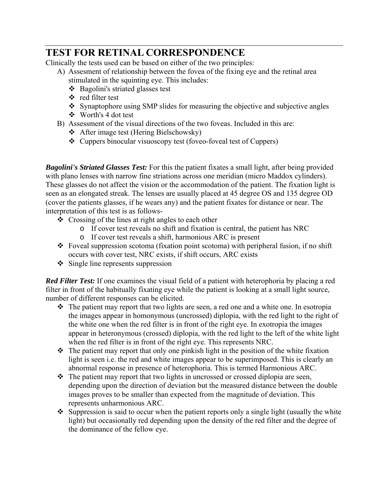# **TEST FOR RETINAL CORRESPONDENCE**

Clinically the tests used can be based on either of the two principles:

- A) Assesment of relationship between the fovea of the fixing eye and the retinal area stimulated in the squinting eye. This includes:
	- Bagolini's striated glasses test
	- red filter test
	- Synaptophore using SMP slides for measuring the objective and subjective angles Worth's 4 dot test
- B) Assessment of the visual directions of the two foveas. Included in this are:
	- After image test (Hering Bielschowsky)
	- $\triangle$  Cuppers binocular visuoscopy test (foveo-foveal test of Cuppers)

*Bagolini's Striated Glasses Test:* For this the patient fixates a small light, after being provided with plano lenses with narrow fine striations across one meridian (micro Maddox cylinders). These glasses do not affect the vision or the accommodation of the patient. The fixation light is seen as an elongated streak. The lenses are usually placed at 45 degree OS and 135 degree OD (cover the patients glasses, if he wears any) and the patient fixates for distance or near. The interpretation of this test is as follows-

- $\triangle$  Crossing of the lines at right angles to each other
	- o If cover test reveals no shift and fixation is central, the patient has NRC
	- o If cover test reveals a shift, harmonious ARC is present
- $\triangle$  Foveal suppression scotoma (fixation point scotoma) with peripheral fusion, if no shift occurs with cover test, NRC exists, if shift occurs, ARC exists
- $\div$  Single line represents suppression

*Red Filter Test:* If one examines the visual field of a patient with heterophoria by placing a red filter in front of the habitually fixating eye while the patient is looking at a small light source, number of different responses can be elicited.

- $\triangle$  The patient may report that two lights are seen, a red one and a white one. In esotropia the images appear in homonymous (uncrossed) diplopia, with the red light to the right of the white one when the red filter is in front of the right eye. In exotropia the images appear in heteronymous (crossed) diplopia, with the red light to the left of the white light when the red filter is in front of the right eye. This represents NRC.
- $\cdot \cdot$  The patient may report that only one pinkish light in the position of the white fixation light is seen i.e. the red and white images appear to be superimposed. This is clearly an abnormal response in presence of heterophoria. This is termed Harmonious ARC.
- $\div$  The patient may report that two lights in uncrossed or crossed diplopia are seen, depending upon the direction of deviation but the measured distance between the double images proves to be smaller than expected from the magnitude of deviation. This represents unharmonious ARC.
- $\cdot$  Suppression is said to occur when the patient reports only a single light (usually the white light) but occasionally red depending upon the density of the red filter and the degree of the dominance of the fellow eye.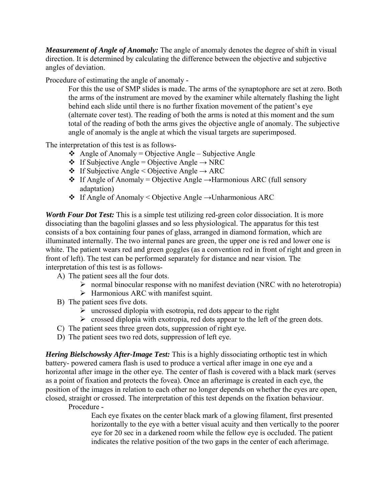*Measurement of Angle of Anomaly:* The angle of anomaly denotes the degree of shift in visual direction. It is determined by calculating the difference between the objective and subjective angles of deviation.

Procedure of estimating the angle of anomaly -

For this the use of SMP slides is made. The arms of the synaptophore are set at zero. Both the arms of the instrument are moved by the examiner while alternately flashing the light behind each slide until there is no further fixation movement of the patient's eye (alternate cover test). The reading of both the arms is noted at this moment and the sum total of the reading of both the arms gives the objective angle of anomaly. The subjective angle of anomaly is the angle at which the visual targets are superimposed.

The interpretation of this test is as follows-

- $\triangleleft$  Angle of Anomaly = Objective Angle Subjective Angle
- $\div$  If Subjective Angle = Objective Angle  $\rightarrow$  NRC
- $\div$  If Subjective Angle < Objective Angle  $\rightarrow$  ARC
- $\div$  If Angle of Anomaly = Objective Angle →Harmonious ARC (full sensory adaptation)
- If Angle of Anomaly < Objective Angle →Unharmonious ARC

*Worth Four Dot Test:* This is a simple test utilizing red-green color dissociation. It is more dissociating than the bagolini glasses and so less physiological. The apparatus for this test consists of a box containing four panes of glass, arranged in diamond formation, which are illuminated internally. The two internal panes are green, the upper one is red and lower one is white. The patient wears red and green goggles (as a convention red in front of right and green in front of left). The test can be performed separately for distance and near vision. The interpretation of this test is as follows-

- A) The patient sees all the four dots.
	- $\triangleright$  normal binocular response with no manifest deviation (NRC with no heterotropia)
	- $\triangleright$  Harmonious ARC with manifest squint.
- B) The patient sees five dots.
	- $\triangleright$  uncrossed diplopia with esotropia, red dots appear to the right
	- $\triangleright$  crossed diplopia with exotropia, red dots appear to the left of the green dots.
- C) The patient sees three green dots, suppression of right eye.
- D) The patient sees two red dots, suppression of left eye.

*Hering Bielschowsky After-Image Test:* This is a highly dissociating orthoptic test in which battery- powered camera flash is used to produce a vertical after image in one eye and a horizontal after image in the other eye. The center of flash is covered with a black mark (serves as a point of fixation and protects the fovea). Once an afterimage is created in each eye, the position of the images in relation to each other no longer depends on whether the eyes are open, closed, straight or crossed. The interpretation of this test depends on the fixation behaviour.

Procedure -

Each eye fixates on the center black mark of a glowing filament, first presented horizontally to the eye with a better visual acuity and then vertically to the poorer eye for 20 sec in a darkened room while the fellow eye is occluded. The patient indicates the relative position of the two gaps in the center of each afterimage.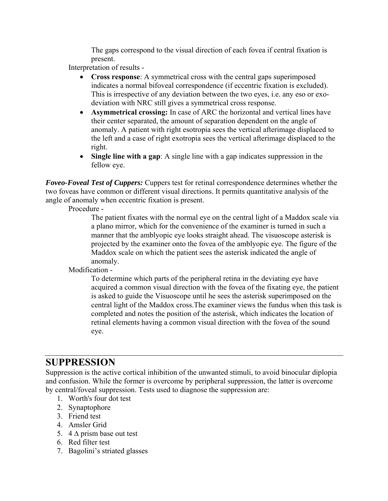The gaps correspond to the visual direction of each fovea if central fixation is present.

Interpretation of results -

- **Cross response**: A symmetrical cross with the central gaps superimposed indicates a normal bifoveal correspondence (if eccentric fixation is excluded). This is irrespective of any deviation between the two eyes, i.e. any eso or exodeviation with NRC still gives a symmetrical cross response.
- **Asymmetrical crossing:** In case of ARC the horizontal and vertical lines have their center separated, the amount of separation dependent on the angle of anomaly. A patient with right esotropia sees the vertical afterimage displaced to the left and a case of right exotropia sees the vertical afterimage displaced to the right.
- **Single line with a gap**: A single line with a gap indicates suppression in the fellow eye.

*Foveo-Foveal Test of Cuppers:* Cuppers test for retinal correspondence determines whether the two foveas have common or different visual directions. It permits quantitative analysis of the angle of anomaly when eccentric fixation is present.

Procedure -

The patient fixates with the normal eye on the central light of a Maddox scale via a plano mirror, which for the convenience of the examiner is turned in such a manner that the amblyopic eye looks straight ahead. The visuoscope asterisk is projected by the examiner onto the fovea of the amblyopic eye. The figure of the Maddox scale on which the patient sees the asterisk indicated the angle of anomaly.

Modification -

To determine which parts of the peripheral retina in the deviating eye have acquired a common visual direction with the fovea of the fixating eye, the patient is asked to guide the Visuoscope until he sees the asterisk superimposed on the central light of the Maddox cross.The examiner views the fundus when this task is completed and notes the position of the asterisk, which indicates the location of retinal elements having a common visual direction with the fovea of the sound eye.

## **SUPPRESSION**

Suppression is the active cortical inhibition of the unwanted stimuli, to avoid binocular diplopia and confusion. While the former is overcome by peripheral suppression, the latter is overcome by central/foveal suppression. Tests used to diagnose the suppression are:

- 1. Worth's four dot test
- 2. Synaptophore
- 3. Friend test
- 4. Amsler Grid
- 5. 4  $\Delta$  prism base out test
- 6. Red filter test
- 7. Bagolini's striated glasses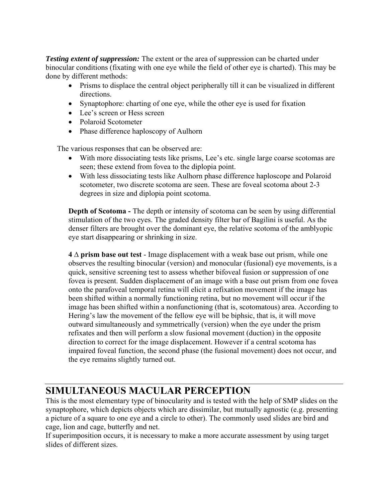*Testing extent of suppression:* The extent or the area of suppression can be charted under binocular conditions (fixating with one eye while the field of other eye is charted). This may be done by different methods:

- Prisms to displace the central object peripherally till it can be visualized in different directions.
- Synaptophore: charting of one eye, while the other eye is used for fixation
- Lee's screen or Hess screen
- Polaroid Scotometer
- Phase difference haploscopy of Aulhorn

The various responses that can be observed are:

- With more dissociating tests like prisms, Lee's etc. single large coarse scotomas are seen; these extend from fovea to the diplopia point.
- With less dissociating tests like Aulhorn phase difference haploscope and Polaroid scotometer, two discrete scotoma are seen. These are foveal scotoma about 2-3 degrees in size and diplopia point scotoma.

**Depth of Scotoma** - The depth or intensity of scotoma can be seen by using differential stimulation of the two eyes. The graded density filter bar of Bagilini is useful. As the denser filters are brought over the dominant eye, the relative scotoma of the amblyopic eye start disappearing or shrinking in size.

**4 ∆ prism base out test** - Image displacement with a weak base out prism, while one observes the resulting binocular (version) and monocular (fusional) eye movements, is a quick, sensitive screening test to assess whether bifoveal fusion or suppression of one fovea is present. Sudden displacement of an image with a base out prism from one fovea onto the parafoveal temporal retina will elicit a refixation movement if the image has been shifted within a normally functioning retina, but no movement will occur if the image has been shifted within a nonfunctioning (that is, scotomatous) area. According to Hering's law the movement of the fellow eye will be biphsic, that is, it will move outward simultaneously and symmetrically (version) when the eye under the prism refixates and then will perform a slow fusional movement (duction) in the opposite direction to correct for the image displacement. However if a central scotoma has impaired foveal function, the second phase (the fusional movement) does not occur, and the eye remains slightly turned out.

## **SIMULTANEOUS MACULAR PERCEPTION**

This is the most elementary type of binocularity and is tested with the help of SMP slides on the synaptophore, which depicts objects which are dissimilar, but mutually agnostic (e.g. presenting a picture of a square to one eye and a circle to other). The commonly used slides are bird and cage, lion and cage, butterfly and net.

If superimposition occurs, it is necessary to make a more accurate assessment by using target slides of different sizes.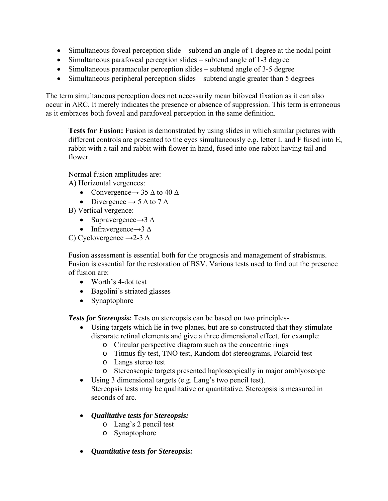- Simultaneous foveal perception slide subtend an angle of 1 degree at the nodal point
- Simultaneous parafoveal perception slides subtend angle of 1-3 degree
- Simultaneous paramacular perception slides subtend angle of 3-5 degree
- Simultaneous peripheral perception slides subtend angle greater than 5 degrees

The term simultaneous perception does not necessarily mean bifoveal fixation as it can also occur in ARC. It merely indicates the presence or absence of suppression. This term is erroneous as it embraces both foveal and parafoveal perception in the same definition.

**Tests for Fusion:** Fusion is demonstrated by using slides in which similar pictures with different controls are presented to the eyes simultaneously e.g. letter L and F fused into E, rabbit with a tail and rabbit with flower in hand, fused into one rabbit having tail and flower.

Normal fusion amplitudes are:

- A) Horizontal vergences:
	- Convergence  $\rightarrow$  35  $\triangle$  to 40  $\triangle$
	- Divergence  $\rightarrow$  5  $\Delta$  to 7  $\Delta$
- B) Vertical vergence:
	- Supravergence $\rightarrow$ 3  $\Delta$
	- Infravergence $\rightarrow$ 3  $\Delta$
- C) Cyclovergence  $\rightarrow$  2-3  $\Delta$

Fusion assessment is essential both for the prognosis and management of strabismus. Fusion is essential for the restoration of BSV. Various tests used to find out the presence of fusion are:

- Worth's 4-dot test
- Bagolini's striated glasses
- Synaptophore

*Tests for Stereopsis:* Tests on stereopsis can be based on two principles-

- Using targets which lie in two planes, but are so constructed that they stimulate disparate retinal elements and give a three dimensional effect, for example:
	- o Circular perspective diagram such as the concentric rings
	- o Titmus fly test, TNO test, Random dot stereograms, Polaroid test
	- o Langs stereo test
	- o Stereoscopic targets presented haploscopically in major amblyoscope
- Using 3 dimensional targets (e.g. Lang's two pencil test). Stereopsis tests may be qualitative or quantitative. Stereopsis is measured in seconds of arc.
- *Qualitative tests for Stereopsis:*
	- o Lang's 2 pencil test
	- o Synaptophore
- *Quantitative tests for Stereopsis:*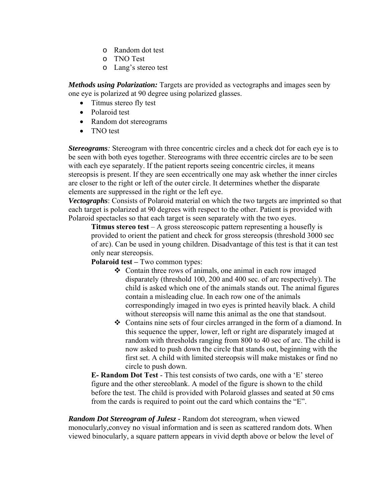- o Random dot test
- o TNO Test
- o Lang's stereo test

*Methods using Polarization:* Targets are provided as vectographs and images seen by one eye is polarized at 90 degree using polarized glasses.

- Titmus stereo fly test
- Polaroid test
- Random dot stereograms
- TNO test

*Stereograms:* Stereogram with three concentric circles and a check dot for each eye is to be seen with both eyes together. Stereograms with three eccentric circles are to be seen with each eye separately. If the patient reports seeing concentric circles, it means stereopsis is present. If they are seen eccentrically one may ask whether the inner circles are closer to the right or left of the outer circle. It determines whether the disparate elements are suppressed in the right or the left eye.

*Vectographs*: Consists of Polaroid material on which the two targets are imprinted so that each target is polarized at 90 degrees with respect to the other. Patient is provided with Polaroid spectacles so that each target is seen separately with the two eyes.

**Titmus stereo test** – A gross stereoscopic pattern representing a housefly is provided to orient the patient and check for gross stereopsis (threshold 3000 sec of arc). Can be used in young children. Disadvantage of this test is that it can test only near stereopsis.

**Polaroid test –** Two common types:

- Contain three rows of animals, one animal in each row imaged disparately (threshold 100, 200 and 400 sec. of arc respectively). The child is asked which one of the animals stands out. The animal figures contain a misleading clue. In each row one of the animals correspondingly imaged in two eyes is printed heavily black. A child without stereopsis will name this animal as the one that standsout.
- Contains nine sets of four circles arranged in the form of a diamond. In this sequence the upper, lower, left or right are disparately imaged at random with thresholds ranging from 800 to 40 sec of arc. The child is now asked to push down the circle that stands out, beginning with the first set. A child with limited stereopsis will make mistakes or find no circle to push down.

**E- Random Dot Test** - This test consists of two cards, one with a 'E' stereo figure and the other stereoblank. A model of the figure is shown to the child before the test. The child is provided with Polaroid glasses and seated at 50 cms from the cards is required to point out the card which contains the "E".

*Random Dot Stereogram of Julesz -* Random dot stereogram, when viewed monocularly,convey no visual information and is seen as scattered random dots. When viewed binocularly, a square pattern appears in vivid depth above or below the level of